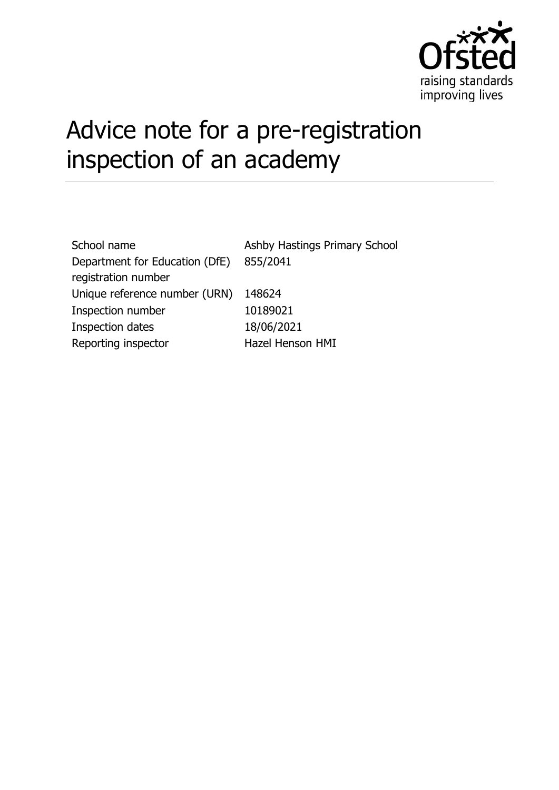

# Advice note for a pre-registration inspection of an academy

| School name                    | Ashby Hastings Primary School |
|--------------------------------|-------------------------------|
| Department for Education (DfE) | 855/2041                      |
| registration number            |                               |
| Unique reference number (URN)  | 148624                        |
| Inspection number              | 10189021                      |
| Inspection dates               | 18/06/2021                    |
| Reporting inspector            | Hazel Henson HMI              |
|                                |                               |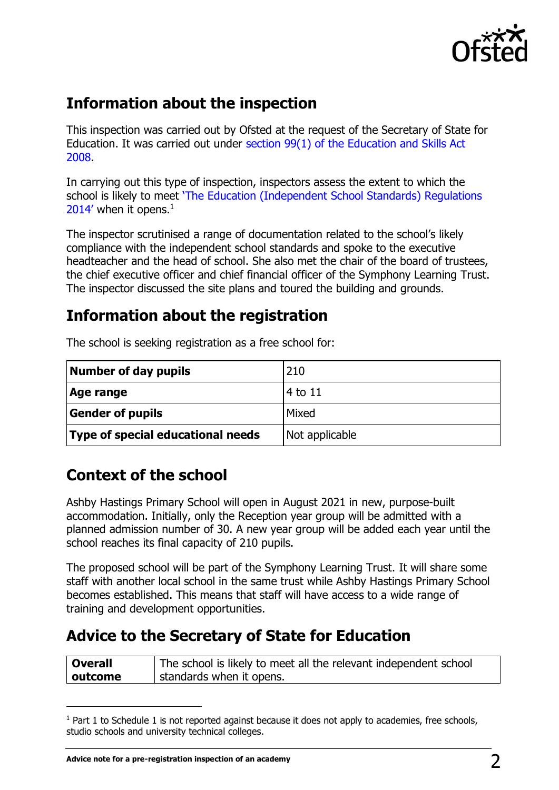

## **Information about the inspection**

This inspection was carried out by Ofsted at the request of the Secretary of State for Education. It was carried out under section 99(1) [of the Education and Skills Act](http://www.legislation.gov.uk/ukpga/2008/25/section/99)  [2008.](http://www.legislation.gov.uk/ukpga/2008/25/section/99)

In carrying out this type of inspection, inspectors assess the extent to which the school is likely to meet ['The Education \(Independent School Standards\) Regulations](http://www.legislation.gov.uk/uksi/2014/3283/schedule/made)   $2014'$  when it opens.<sup>1</sup>

The inspector scrutinised a range of documentation related to the school's likely compliance with the independent school standards and spoke to the executive headteacher and the head of school. She also met the chair of the board of trustees, the chief executive officer and chief financial officer of the Symphony Learning Trust. The inspector discussed the site plans and toured the building and grounds.

## **Information about the registration**

| Number of day pupils                     | 210            |
|------------------------------------------|----------------|
| Age range                                | 4 to 11        |
| <b>Gender of pupils</b>                  | Mixed          |
| <b>Type of special educational needs</b> | Not applicable |

The school is seeking registration as a free school for:

## **Context of the school**

Ashby Hastings Primary School will open in August 2021 in new, purpose-built accommodation. Initially, only the Reception year group will be admitted with a planned admission number of 30. A new year group will be added each year until the school reaches its final capacity of 210 pupils.

The proposed school will be part of the Symphony Learning Trust. It will share some staff with another local school in the same trust while Ashby Hastings Primary School becomes established. This means that staff will have access to a wide range of training and development opportunities.

## **Advice to the Secretary of State for Education**

| Overall | The school is likely to meet all the relevant independent school |
|---------|------------------------------------------------------------------|
| outcome | standards when it opens.                                         |

 $1$  Part 1 to Schedule 1 is not reported against because it does not apply to academies, free schools, studio schools and university technical colleges.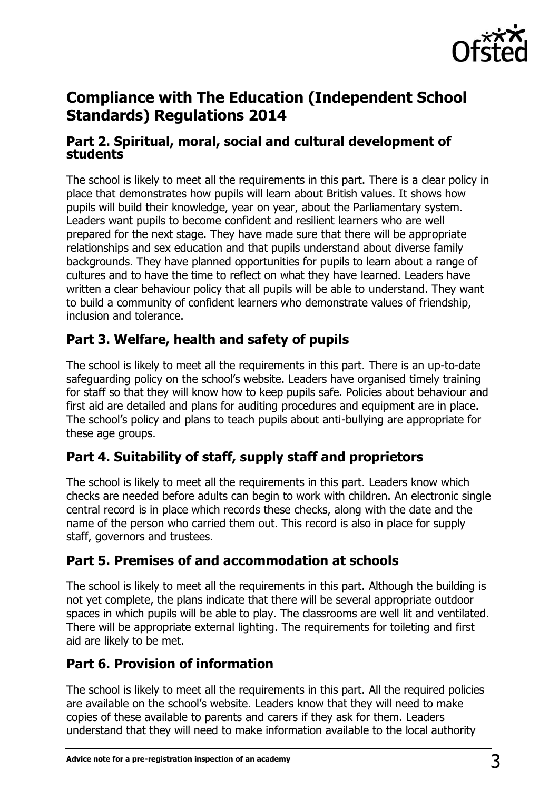

## **Compliance with The Education (Independent School Standards) Regulations 2014**

#### **Part 2. Spiritual, moral, social and cultural development of students**

The school is likely to meet all the requirements in this part. There is a clear policy in place that demonstrates how pupils will learn about British values. It shows how pupils will build their knowledge, year on year, about the Parliamentary system. Leaders want pupils to become confident and resilient learners who are well prepared for the next stage. They have made sure that there will be appropriate relationships and sex education and that pupils understand about diverse family backgrounds. They have planned opportunities for pupils to learn about a range of cultures and to have the time to reflect on what they have learned. Leaders have written a clear behaviour policy that all pupils will be able to understand. They want to build a community of confident learners who demonstrate values of friendship, inclusion and tolerance.

#### **Part 3. Welfare, health and safety of pupils**

The school is likely to meet all the requirements in this part. There is an up-to-date safeguarding policy on the school's website. Leaders have organised timely training for staff so that they will know how to keep pupils safe. Policies about behaviour and first aid are detailed and plans for auditing procedures and equipment are in place. The school's policy and plans to teach pupils about anti-bullying are appropriate for these age groups.

### **Part 4. Suitability of staff, supply staff and proprietors**

The school is likely to meet all the requirements in this part. Leaders know which checks are needed before adults can begin to work with children. An electronic single central record is in place which records these checks, along with the date and the name of the person who carried them out. This record is also in place for supply staff, governors and trustees.

#### **Part 5. Premises of and accommodation at schools**

The school is likely to meet all the requirements in this part. Although the building is not yet complete, the plans indicate that there will be several appropriate outdoor spaces in which pupils will be able to play. The classrooms are well lit and ventilated. There will be appropriate external lighting. The requirements for toileting and first aid are likely to be met.

#### **Part 6. Provision of information**

The school is likely to meet all the requirements in this part. All the required policies are available on the school's website. Leaders know that they will need to make copies of these available to parents and carers if they ask for them. Leaders understand that they will need to make information available to the local authority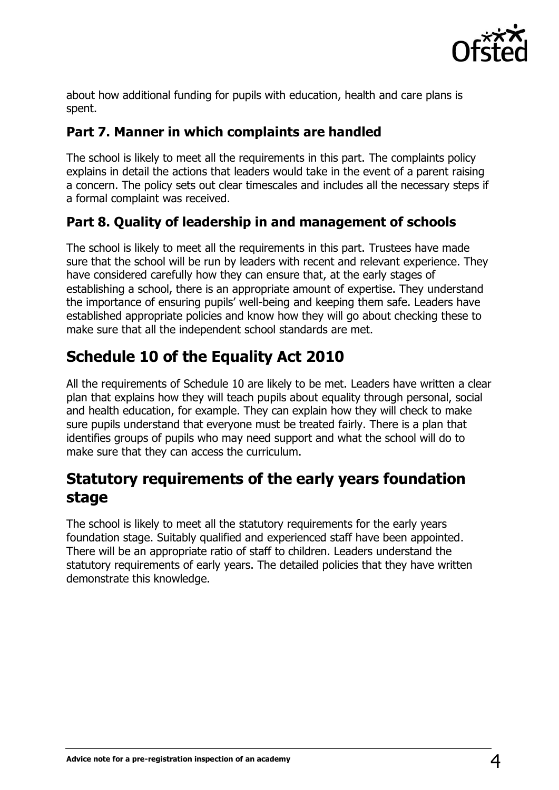

about how additional funding for pupils with education, health and care plans is spent.

#### **Part 7. Manner in which complaints are handled**

The school is likely to meet all the requirements in this part. The complaints policy explains in detail the actions that leaders would take in the event of a parent raising a concern. The policy sets out clear timescales and includes all the necessary steps if a formal complaint was received.

#### **Part 8. Quality of leadership in and management of schools**

The school is likely to meet all the requirements in this part. Trustees have made sure that the school will be run by leaders with recent and relevant experience. They have considered carefully how they can ensure that, at the early stages of establishing a school, there is an appropriate amount of expertise. They understand the importance of ensuring pupils' well-being and keeping them safe. Leaders have established appropriate policies and know how they will go about checking these to make sure that all the independent school standards are met.

## **Schedule 10 of the Equality Act 2010**

All the requirements of Schedule 10 are likely to be met. Leaders have written a clear plan that explains how they will teach pupils about equality through personal, social and health education, for example. They can explain how they will check to make sure pupils understand that everyone must be treated fairly. There is a plan that identifies groups of pupils who may need support and what the school will do to make sure that they can access the curriculum.

## **Statutory requirements of the early years foundation stage**

The school is likely to meet all the statutory requirements for the early years foundation stage. Suitably qualified and experienced staff have been appointed. There will be an appropriate ratio of staff to children. Leaders understand the statutory requirements of early years. The detailed policies that they have written demonstrate this knowledge.